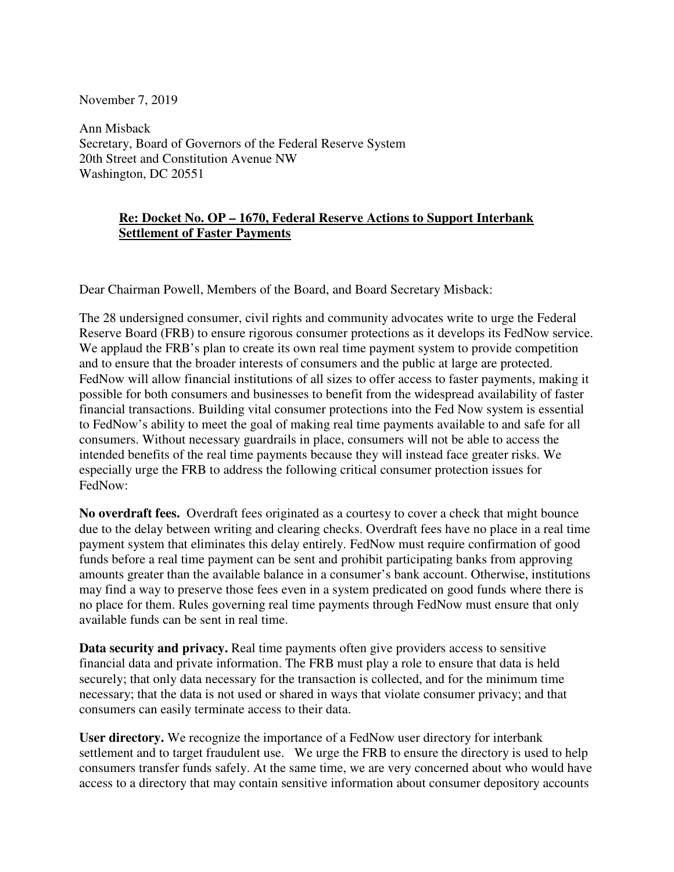November 7, 2019

Ann Misback Secretary, Board of Governors of the Federal Reserve System 20th Street and Constitution Avenue NW Washington, DC 20551

## **Re: Docket No. OP – 1670, Federal Reserve Actions to Support Interbank Settlement of Faster Payments**

Dear Chairman Powell, Members of the Board, and Board Secretary Misback:

The 28 undersigned consumer, civil rights and community advocates write to urge the Federal Reserve Board (FRB) to ensure rigorous consumer protections as it develops its FedNow service. We applaud the FRB's plan to create its own real time payment system to provide competition and to ensure that the broader interests of consumers and the public at large are protected. FedNow will allow financial institutions of all sizes to offer access to faster payments, making it possible for both consumers and businesses to benefit from the widespread availability of faster financial transactions. Building vital consumer protections into the Fed Now system is essential to FedNow's ability to meet the goal of making real time payments available to and safe for all consumers. Without necessary guardrails in place, consumers will not be able to access the intended benefits of the real time payments because they will instead face greater risks. We especially urge the FRB to address the following critical consumer protection issues for FedNow:

**No overdraft fees.** Overdraft fees originated as a courtesy to cover a check that might bounce due to the delay between writing and clearing checks. Overdraft fees have no place in a real time payment system that eliminates this delay entirely. FedNow must require confirmation of good funds before a real time payment can be sent and prohibit participating banks from approving amounts greater than the available balance in a consumer's bank account. Otherwise, institutions may find a way to preserve those fees even in a system predicated on good funds where there is no place for them. Rules governing real time payments through FedNow must ensure that only available funds can be sent in real time.

**Data security and privacy.** Real time payments often give providers access to sensitive financial data and private information. The FRB must play a role to ensure that data is held securely; that only data necessary for the transaction is collected, and for the minimum time necessary; that the data is not used or shared in ways that violate consumer privacy; and that consumers can easily terminate access to their data.

**User directory.** We recognize the importance of a FedNow user directory for interbank settlement and to target fraudulent use. We urge the FRB to ensure the directory is used to help consumers transfer funds safely. At the same time, we are very concerned about who would have access to a directory that may contain sensitive information about consumer depository accounts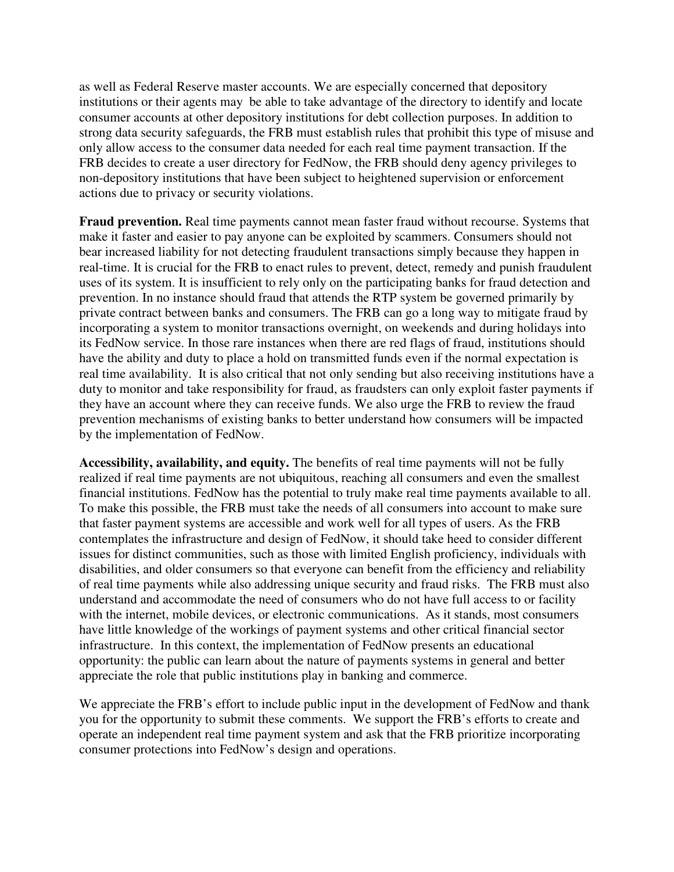as well as Federal Reserve master accounts. We are especially concerned that depository institutions or their agents may be able to take advantage of the directory to identify and locate consumer accounts at other depository institutions for debt collection purposes. In addition to strong data security safeguards, the FRB must establish rules that prohibit this type of misuse and only allow access to the consumer data needed for each real time payment transaction. If the FRB decides to create a user directory for FedNow, the FRB should deny agency privileges to non-depository institutions that have been subject to heightened supervision or enforcement actions due to privacy or security violations.

**Fraud prevention.** Real time payments cannot mean faster fraud without recourse. Systems that make it faster and easier to pay anyone can be exploited by scammers. Consumers should not bear increased liability for not detecting fraudulent transactions simply because they happen in real-time. It is crucial for the FRB to enact rules to prevent, detect, remedy and punish fraudulent uses of its system. It is insufficient to rely only on the participating banks for fraud detection and prevention. In no instance should fraud that attends the RTP system be governed primarily by private contract between banks and consumers. The FRB can go a long way to mitigate fraud by incorporating a system to monitor transactions overnight, on weekends and during holidays into its FedNow service. In those rare instances when there are red flags of fraud, institutions should have the ability and duty to place a hold on transmitted funds even if the normal expectation is real time availability. It is also critical that not only sending but also receiving institutions have a duty to monitor and take responsibility for fraud, as fraudsters can only exploit faster payments if they have an account where they can receive funds. We also urge the FRB to review the fraud prevention mechanisms of existing banks to better understand how consumers will be impacted by the implementation of FedNow.

**Accessibility, availability, and equity.** The benefits of real time payments will not be fully realized if real time payments are not ubiquitous, reaching all consumers and even the smallest financial institutions. FedNow has the potential to truly make real time payments available to all. To make this possible, the FRB must take the needs of all consumers into account to make sure that faster payment systems are accessible and work well for all types of users. As the FRB contemplates the infrastructure and design of FedNow, it should take heed to consider different issues for distinct communities, such as those with limited English proficiency, individuals with disabilities, and older consumers so that everyone can benefit from the efficiency and reliability of real time payments while also addressing unique security and fraud risks. The FRB must also understand and accommodate the need of consumers who do not have full access to or facility with the internet, mobile devices, or electronic communications. As it stands, most consumers have little knowledge of the workings of payment systems and other critical financial sector infrastructure. In this context, the implementation of FedNow presents an educational opportunity: the public can learn about the nature of payments systems in general and better appreciate the role that public institutions play in banking and commerce.

We appreciate the FRB's effort to include public input in the development of FedNow and thank you for the opportunity to submit these comments. We support the FRB's efforts to create and operate an independent real time payment system and ask that the FRB prioritize incorporating consumer protections into FedNow's design and operations.